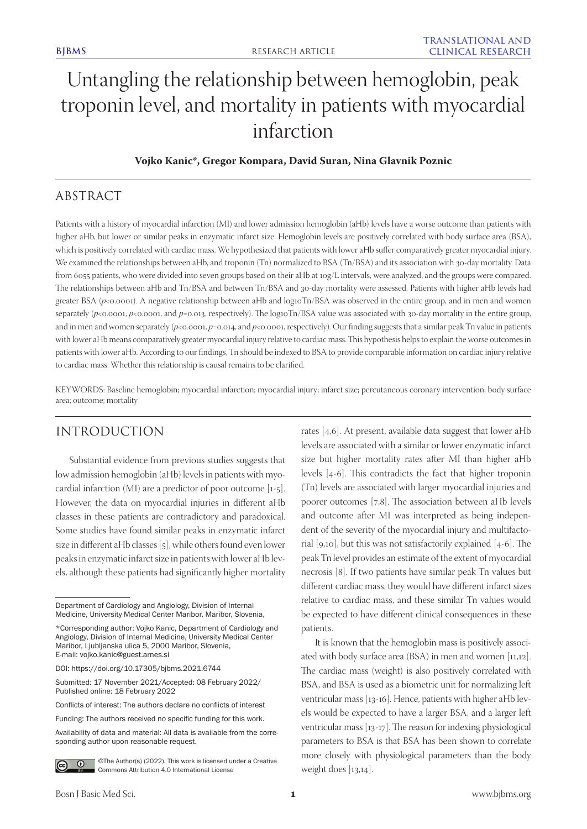# Untangling the relationship between hemoglobin, peak troponin level, and mortality in patients with myocardial infarction

## **Vojko Kanic\*, Gregor Kompara, David Suran, Nina Glavnik Poznic**

# ABSTRACT

Patients with a history of myocardial infarction (MI) and lower admission hemoglobin (aHb) levels have a worse outcome than patients with higher aHb, but lower or similar peaks in enzymatic infarct size. Hemoglobin levels are positively correlated with body surface area (BSA), which is positively correlated with cardiac mass. We hypothesized that patients with lower aHb suffer comparatively greater myocardial injury. We examined the relationships between aHb, and troponin (Tn) normalized to BSA (Tn/BSA) and its association with 30-day mortality. Data from 6055 patients, who were divided into seven groups based on their aHb at 10g/L intervals, were analyzed, and the groups were compared. The relationships between aHb and Tn/BSA and between Tn/BSA and 30-day mortality were assessed. Patients with higher aHb levels had greater BSA ( $p<0.0001$ ). A negative relationship between aHb and log10Tn/BSA was observed in the entire group, and in men and women separately ( $p$ <0.0001,  $p$ <0.0001, and  $p$ =0.013, respectively). The log10Tn/BSA value was associated with 30-day mortality in the entire group, and in men and women separately ( $p<0.0001$ ,  $p=0.014$ , and  $p<0.0001$ , respectively). Our finding suggests that a similar peak Tn value in patients with lower aHb means comparatively greater myocardial injury relative to cardiac mass. This hypothesis helps to explain the worse outcomes in patients with lower aHb. According to our findings, Tn should be indexed to BSA to provide comparable information on cardiac injury relative to cardiac mass. Whether this relationship is causal remains to be clarified.

KEYWORDS: Baseline hemoglobin; myocardial infarction; myocardial injury; infarct size; percutaneous coronary intervention; body surface area; outcome; mortality

# INTRODUCTION

Substantial evidence from previous studies suggests that low admission hemoglobin (aHb) levels in patients with myocardial infarction (MI) are a predictor of poor outcome [1-5]. However, the data on myocardial injuries in different aHb classes in these patients are contradictory and paradoxical. Some studies have found similar peaks in enzymatic infarct size in different aHb classes [5], while others found even lower peaks in enzymatic infarct size in patients with lower aHb levels, although these patients had significantly higher mortality

Availability of data and material: All data is available from the corresponding author upon reasonable request.



©The Author(s) (2022). This work is licensed under a Creative Commons Attribution 4.0 International License

rates [4,6]. At present, available data suggest that lower aHb levels are associated with a similar or lower enzymatic infarct size but higher mortality rates after MI than higher aHb levels [4-6]. This contradicts the fact that higher troponin (Tn) levels are associated with larger myocardial injuries and poorer outcomes [7,8]. The association between aHb levels and outcome after MI was interpreted as being independent of the severity of the myocardial injury and multifactorial [9,10], but this was not satisfactorily explained [4-6]. The peak Tn level provides an estimate of the extent of myocardial necrosis [8]. If two patients have similar peak Tn values but different cardiac mass, they would have different infarct sizes relative to cardiac mass, and these similar Tn values would be expected to have different clinical consequences in these patients.

It is known that the hemoglobin mass is positively associated with body surface area (BSA) in men and women [11,12]. The cardiac mass (weight) is also positively correlated with BSA, and BSA is used as a biometric unit for normalizing left ventricular mass [13-16]. Hence, patients with higher aHb levels would be expected to have a larger BSA, and a larger left ventricular mass [13-17]. The reason for indexing physiological parameters to BSA is that BSA has been shown to correlate more closely with physiological parameters than the body weight does [13,14].

Department of Cardiology and Angiology, Division of Internal Medicine, University Medical Center Maribor, Maribor, Slovenia,

<sup>\*</sup>Corresponding author: Vojko Kanic, Department of Cardiology and Angiology, Division of Internal Medicine, University Medical Center Maribor, Ljubljanska ulica 5, 2000 Maribor, Slovenia, E-mail: vojko.kanic@guest.arnes.si

DOI: https://doi.org/10.17305/bjbms.2021.6744

Submitted: 17 November 2021/Accepted: 08 February 2022/ Published online: 18 February 2022

Conflicts of interest: The authors declare no conflicts of interest

Funding: The authors received no specific funding for this work.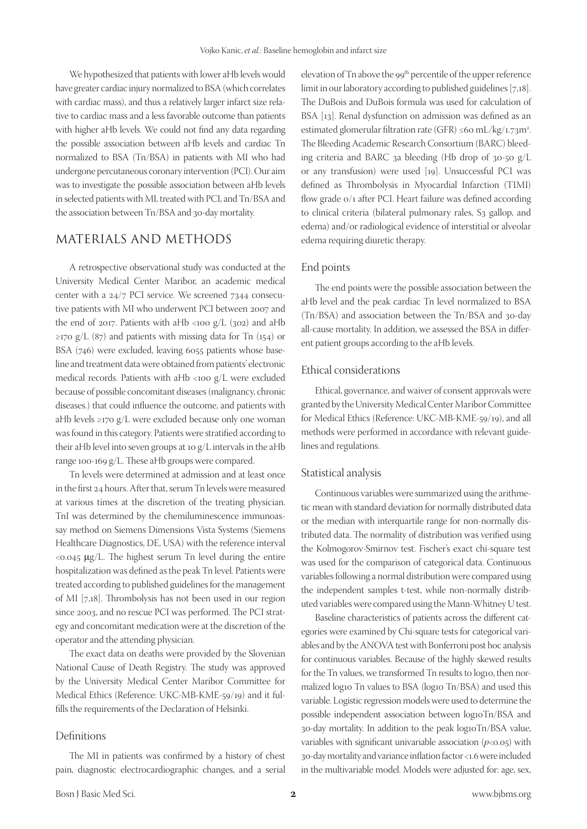We hypothesized that patients with lower aHb levels would have greater cardiac injury normalized to BSA (which correlates with cardiac mass), and thus a relatively larger infarct size relative to cardiac mass and a less favorable outcome than patients with higher aHb levels. We could not find any data regarding the possible association between aHb levels and cardiac Tn normalized to BSA (Tn/BSA) in patients with MI who had undergone percutaneous coronary intervention (PCI). Our aim was to investigate the possible association between aHb levels in selected patients with MI, treated with PCI, and Tn/BSA and the association between Tn/BSA and 30-day mortality.

# MATERIALS AND METHODS

A retrospective observational study was conducted at the University Medical Center Maribor, an academic medical center with a 24/7 PCI service. We screened 7344 consecutive patients with MI who underwent PCI between 2007 and the end of 2017. Patients with aHb <100  $g/L$  (302) and aHb  $\ge$ 170 g/L (87) and patients with missing data for Tn (154) or BSA (746) were excluded, leaving 6055 patients whose baseline and treatment data were obtained from patients' electronic medical records. Patients with aHb <100 g/L were excluded because of possible concomitant diseases (malignancy, chronic diseases.) that could influence the outcome, and patients with aHb levels ≥170 g/L were excluded because only one woman was found in this category. Patients were stratified according to their aHb level into seven groups at 10 g/L intervals in the aHb range 100-169 g/L. These aHb groups were compared.

Tn levels were determined at admission and at least once in the first 24 hours. After that, serum Tn levels were measured at various times at the discretion of the treating physician. TnI was determined by the chemiluminescence immunoassay method on Siemens Dimensions Vista Systems (Siemens Healthcare Diagnostics, DE, USA) with the reference interval  $<$ 0.045  $\mu$ g/L. The highest serum Tn level during the entire hospitalization was defined as the peak Tn level. Patients were treated according to published guidelines for the management of MI [7,18]. Thrombolysis has not been used in our region since 2003, and no rescue PCI was performed. The PCI strategy and concomitant medication were at the discretion of the operator and the attending physician.

The exact data on deaths were provided by the Slovenian National Cause of Death Registry. The study was approved by the University Medical Center Maribor Committee for Medical Ethics (Reference: UKC-MB-KME-59/19) and it fulfills the requirements of the Declaration of Helsinki.

#### Definitions

The MI in patients was confirmed by a history of chest pain, diagnostic electrocardiographic changes, and a serial elevation of Tn above the 99<sup>th</sup> percentile of the upper reference limit in our laboratory according to published guidelines [7,18]. The DuBois and DuBois formula was used for calculation of BSA [13]. Renal dysfunction on admission was defined as an estimated glomerular filtration rate (GFR) ≤60 mL/kg/1.73m<sup>2</sup>. The Bleeding Academic Research Consortium (BARC) bleeding criteria and BARC 3a bleeding (Hb drop of 30-50 g/L or any transfusion) were used [19]. Unsuccessful PCI was defined as Thrombolysis in Myocardial Infarction (TIMI) flow grade 0/1 after PCI. Heart failure was defined according to clinical criteria (bilateral pulmonary rales, S3 gallop, and edema) and/or radiological evidence of interstitial or alveolar edema requiring diuretic therapy.

### End points

The end points were the possible association between the aHb level and the peak cardiac Tn level normalized to BSA (Tn/BSA) and association between the Tn/BSA and 30-day all-cause mortality. In addition, we assessed the BSA in different patient groups according to the aHb levels.

## Ethical considerations

Ethical, governance, and waiver of consent approvals were granted by the University Medical Center Maribor Committee for Medical Ethics (Reference: UKC-MB-KME-59/19), and all methods were performed in accordance with relevant guidelines and regulations.

#### Statistical analysis

Continuous variables were summarized using the arithmetic mean with standard deviation for normally distributed data or the median with interquartile range for non-normally distributed data. The normality of distribution was verified using the Kolmogorov-Smirnov test. Fischer's exact chi-square test was used for the comparison of categorical data. Continuous variables following a normal distribution were compared using the independent samples t-test, while non-normally distributed variables were compared using the Mann-Whitney U test.

Baseline characteristics of patients across the different categories were examined by Chi-square tests for categorical variables and by the ANOVA test with Bonferroni post hoc analysis for continuous variables. Because of the highly skewed results for the Tn values, we transformed Tn results to log10, then normalized log10 Tn values to BSA (log10 Tn/BSA) and used this variable. Logistic regression models were used to determine the possible independent association between log10Tn/BSA and 30-day mortality. In addition to the peak log10Tn/BSA value, variables with significant univariable association  $(p<0.05)$  with 30-day mortality and variance inflation factor <1.6 were included in the multivariable model. Models were adjusted for: age, sex,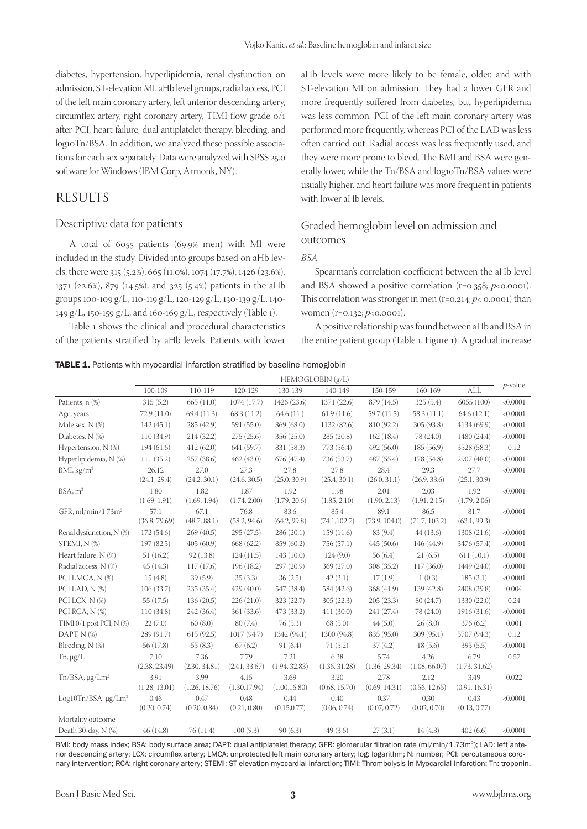diabetes, hypertension, hyperlipidemia, renal dysfunction on admission, ST-elevation MI, aHb level groups, radial access, PCI of the left main coronary artery, left anterior descending artery, circumflex artery, right coronary artery, TIMI flow grade 0/1 after PCI, heart failure, dual antiplatelet therapy, bleeding, and log10Tn/BSA. In addition, we analyzed these possible associations for each sex separately. Data were analyzed with SPSS 25.0 software for Windows (IBM Corp, Armonk, NY).

# RESULTS

## Descriptive data for patients

A total of 6055 patients (69.9% men) with MI were included in the study. Divided into groups based on aHb levels, there were 315 (5.2%), 665 (11.0%), 1074 (17.7%), 1426 (23.6%), 1371 (22.6%), 879 (14.5%), and 325 (5.4%) patients in the aHb groups 100-109 g/L, 110-119 g/L, 120-129 g/L, 130-139 g/L, 140- 149 g/L, 150-159 g/L, and 160-169 g/L, respectively (Table 1).

Table 1 shows the clinical and procedural characteristics of the patients stratified by aHb levels. Patients with lower

aHb levels were more likely to be female, older, and with ST-elevation MI on admission. They had a lower GFR and more frequently suffered from diabetes, but hyperlipidemia was less common. PCI of the left main coronary artery was performed more frequently, whereas PCI of the LAD was less often carried out. Radial access was less frequently used, and they were more prone to bleed. The BMI and BSA were generally lower, while the Tn/BSA and log10Tn/BSA values were usually higher, and heart failure was more frequent in patients with lower aHb levels.

# Graded hemoglobin level on admission and outcomes

## *BSA*

Spearman's correlation coefficient between the aHb level and BSA showed a positive correlation (r=0.358; *p*<0.0001). This correlation was stronger in men  $(r=0.214; p<0.0001)$  than women (r=0.132; *p*<0.0001).

A positive relationship was found between aHb and BSA in the entire patient group (Table 1, Figure 1). A gradual increase

**TABLE 1.** Patients with myocardial infarction stratified by baseline hemoglobin

|                                      | HEMOGLOBIN (g/L)      |                       |                       |                       |                       |                       |                       |                       |            |
|--------------------------------------|-----------------------|-----------------------|-----------------------|-----------------------|-----------------------|-----------------------|-----------------------|-----------------------|------------|
|                                      | 100-109               | 110-119               | 120-129               | 130-139               | 140-149               | 150-159               | 160-169               | <b>ALL</b>            | $p$ -value |
| Patients, n (%)                      | 315(5.2)              | 665(11.0)             | 1074(17.7)            | 1426 (23.6)           | 1371 (22.6)           | 879 (14.5)            | 325(5.4)              | 6055(100)             | < 0.0001   |
| Age, years                           | 72.9 (11.0)           | 69.4(11.3)            | 68.3 (11.2)           | 64.6(11)              | 61.9(11.6)            | 59.7 (11.5)           | 58.3(11.1)            | 64.6(12.1)            | < 0.0001   |
| Male sex, $N$ $(\%)$                 | 142(45.1)             | 285 (42.9)            | 591 (55.0)            | 869 (68.0)            | 1132 (82.6)           | 810 (92.2)            | 305(93.8)             | 4134 (69.9)           | < 0.0001   |
| Diabetes, N (%)                      | 110(34.9)             | 214(32.2)             | 275(25.6)             | 356(25.0)             | 285(20.8)             | 162(18.4)             | 78 (24.0)             | 1480 (24.4)           | < 0.0001   |
| Hypertension, N (%)                  | 194(61.6)             | 412(62.0)             | 641 (59.7)            | 831 (58.3)            | 773 (56.4)            | 492 (56.0)            | 185(56.9)             | 3528 (58.3)           | 0.12       |
| Hyperlipidemia, N (%)                | 111(35.2)             | 257(38.6)             | 462(43.0)             | 676 (47.4)            | 736 (53.7)            | 487(55.4)             | 178 (54.8)            | 2907 (48.0)           | < 0.0001   |
| BMI, kg/m <sup>2</sup>               | 26.12<br>(24.1, 29.4) | 27.0<br>(24.2, 30.1)  | 27.3<br>(24.6, 30.5)  | 27.8<br>(25.0, 30.9)  | 27.8<br>(25.4, 30.1)  | 28.4<br>(26.0, 31.1)  | 29.3<br>(26.9, 33.6)  | 27.7<br>(25.1, 30.9)  | < 0.0001   |
| BSA, m <sup>2</sup>                  | 1.80<br>(1.69, 1.91)  | 1.82<br>(1.69, 1.94)  | 1.87<br>(1.74, 2.00)  | 1.92<br>(1.79, 20.6)  | 1.98<br>(1.85, 2.10)  | 2.01<br>(1.90, 2.13)  | 2.03<br>(1.91, 2.15)  | 1.92<br>(1.79, 2.06)  | < 0.0001   |
| GFR, $ml/min/1.73m2$                 | 57.1<br>(36.8, 79.69) | 67.1<br>(48.7, 88.1)  | 76.8<br>(58.2, 94.6)  | 83.6<br>(64.2, 99.8)  | 85.4<br>(74.1, 102.7) | 89.1<br>(73.9, 104.0) | 86.5<br>(71.7, 103.2) | 81.7<br>(63.1, 99.3)  | < 0.0001   |
| Renal dysfunction, N (%)             | 172(54.6)             | 269(40.5)             | 295(27.5)             | 286(20.1)             | 159(11.6)             | 83 (9.4)              | 44(13.6)              | 1308 (21.6)           | < 0.0001   |
| STEMI, N (%)                         | 197(82.5)             | 405(60.9)             | 668 (62.2)            | 859 (60.2)            | 756 (57.1)            | 445(50.6)             | 146 (44.9)            | 3476 (57.4)           | < 0.0001   |
| Heart failure, N (%)                 | 51 (16.2)             | 92(13.8)              | 124(11.5)             | 143 (10.0)            | 124(9.0)              | 56(6.4)               | 21(6.5)               | 611(10.1)             | < 0.0001   |
| Radial access, N (%)                 | 45(14.3)              | 117(17.6)             | 196(18.2)             | 297(20.9)             | 369 (27.0)            | 308 (35.2)            | 117(36.0)             | 1449 (24.0)           | < 0.0001   |
| PCI LMCA, N (%)                      | 15(4.8)               | 39(5.9)               | 35(3.3)               | 36(2.5)               | 42(3.1)               | 17(1.9)               | 1(0.3)                | 185(3.1)              | < 0.0001   |
| PCI LAD, N (%)                       | 106(33.7)             | 235(35.4)             | 429(40.0)             | 547 (38.4)            | 584 (42.6)            | 368 (41.9)            | 139 (42.8)            | 2408 (39.8)           | 0.004      |
| PCI LCX, N (%)                       | 55 (17.5)             | 136(20.5)             | 226(21.0)             | 323 (22.7)            | 305(22.3)             | 205(23.3)             | 80(24.7)              | 1330 (22.0)           | 0.24       |
| PCI RCA, N (%)                       | 110(34.8)             | 242 (36.4)            | 361 (33.6)            | 473 (33.2)            | 411(30.0)             | 241 (27.4)            | 78 (24.0)             | 1916 (31.6)           | < 0.0001   |
| TIMI $0/1$ post PCI, N $(\%)$        | 22(7.0)               | 60(8.0)               | 80 (7.4)              | 76(5.3)               | 68(5.0)               | 44(5.0)               | 26(8.0)               | 376(6.2)              | 0.001      |
| DAPT, N (%)                          | 289 (91.7)            | 615(92.5)             | 1017 (94.7)           | 1342 (94.1)           | 1300 (94.8)           | 835 (95.0)            | 309(95.1)             | 5707 (94.3)           | 0.12       |
| Bleeding, N (%)                      | 56 (17.8)             | 55(8.3)               | 67(6.2)               | 91(6.4)               | 71(5.2)               | 37(4.2)               | 18(5.6)               | 395(5.5)              | < 0.0001   |
| Tn, $\mu$ g/L                        | 7.10<br>(2.38, 23.49) | 7.36<br>(2.30, 34.81) | 7.79<br>(2.41, 33.67) | 7.21<br>(1.94, 32.83) | 6.38<br>(1.36, 31.28) | 5.74<br>(1.36, 29.34) | 4.26<br>(1.08, 66.07) | 6.79<br>(1.73, 31.62) | 0.57       |
| $Tn/BSA$ , $\mu$ g/Lm <sup>2</sup>   | 3.91<br>(1.28, 13.01) | 3.99<br>(1.26, 18.76) | 4.15<br>(1.30, 17.94) | 3.69<br>(1.00, 16.80) | 3.20<br>(0.68, 15.70) | 2.78<br>(0.69, 14.31) | 2.12<br>(0.56, 12.65) | 3.49<br>(0.91, 16.31) | 0.022      |
| Log10Tn/BSA, $\mu$ g/Lm <sup>2</sup> | 0.46<br>(0.20, 0.74)  | 0.47<br>(0.20, 0.84)  | 0.48<br>(0.21, 0.80)  | 0.44<br>(0.15, 0.77)  | 0.40<br>(0.06, 0.74)  | 0.37<br>(0.07, 0.72)  | 0.30<br>(0.02, 0.70)  | 0.43<br>(0.13, 0.77)  | < 0.0001   |
| Mortality outcome                    |                       |                       |                       |                       |                       |                       |                       |                       |            |
| Death 30-day, N (%)                  | 46(14.8)              | 76(11.4)              | 100(9.3)              | 90(6.3)               | 49(3.6)               | 27(3.1)               | 14(4.3)               | 402(6.6)              | < 0.0001   |

BMI: body mass index; BSA: body surface area; DAPT: dual antiplatelet therapy; GFR: glomerular filtration rate (ml/min/1.73m<sup>2</sup>); LAD: left anterior descending artery; LCX: circumflex artery; LMCA: unprotected left main coronary artery; log: logarithm; N: number; PCI: percutaneous coronary intervention; RCA: right coronary artery; STEMI: ST-elevation myocardial infarction; TIMI: Thrombolysis In Myocardial Infarction; Tn: troponin.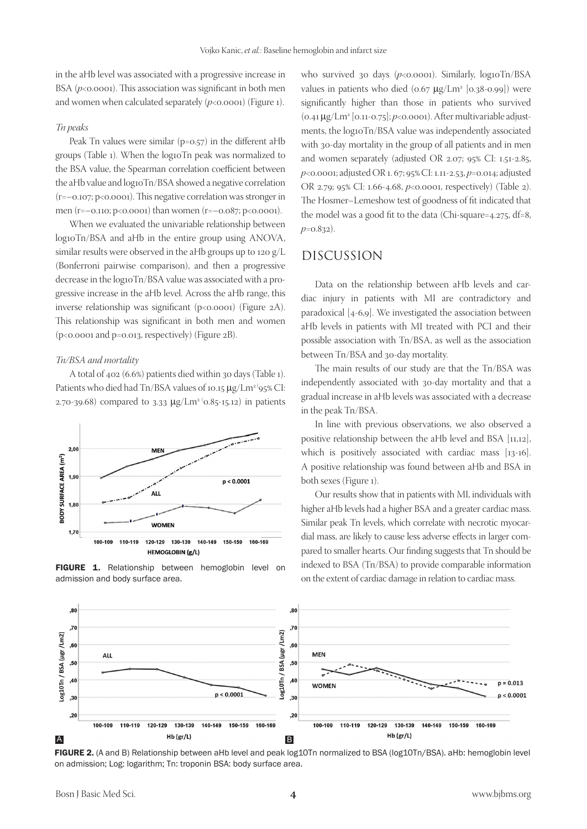in the aHb level was associated with a progressive increase in BSA  $(p<0.0001)$ . This association was significant in both men and women when calculated separately  $(p<0.0001)$  (Figure 1).

#### *Tn peaks*

Peak Tn values were similar (p=0.57) in the different aHb groups (Table 1). When the log10Tn peak was normalized to the BSA value, the Spearman correlation coefficient between the aHb value and log10Tn/BSA showed a negative correlation (r=–0.107; p<0.0001). This negative correlation was stronger in men (r=–0.110; p<0.0001) than women (r=–0.087; p<0.0001).

When we evaluated the univariable relationship between log10Tn/BSA and aHb in the entire group using ANOVA, similar results were observed in the aHb groups up to 120 g/L (Bonferroni pairwise comparison), and then a progressive decrease in the log10Tn/BSA value was associated with a progressive increase in the aHb level. Across the aHb range, this inverse relationship was significant (p<0.0001) (Figure 2A). This relationship was significant in both men and women (p<0.0001 and p=0.013, respectively) (Figure 2B).

#### *Tn/BSA and mortality*

A total of 402 (6.6%) patients died within 30 days (Table 1). Patients who died had Tn/BSA values of 10.15 µg/Lm<sup>2</sup> (95% CI: 2.70-39.68) compared to 3.33  $\mu$ g/Lm<sup>2 (</sup>0.85-15.12) in patients



FIGURE 1. Relationship between hemoglobin level on admission and body surface area.

who survived 30 days  $(p<0.0001)$ . Similarly, log10Tn/BSA values in patients who died  $(0.67 \ \mu g/Lm^2 \ [0.38 - 0.99])$  were significantly higher than those in patients who survived (0.41 µg/Lm2 [0.11-0.75]; *p*<0.0001). After multivariable adjustments, the log10Tn/BSA value was independently associated with 30-day mortality in the group of all patients and in men and women separately (adjusted OR 2.07; 95% CI: 1.51-2.85, *p*<0.0001; adjusted OR 1. 67; 95% CI: 1.11-2.53, *p*=0.014; adjusted OR 2.79; 95% CI: 1.66-4.68, *p*<0.0001, respectively) (Table 2). The Hosmer–Lemeshow test of goodness of fit indicated that the model was a good fit to the data (Chi-square=4.275, df=8, *p*=0.832).

# DISCUSSION

Data on the relationship between aHb levels and cardiac injury in patients with MI are contradictory and paradoxical [4-6,9]. We investigated the association between aHb levels in patients with MI treated with PCI and their possible association with Tn/BSA, as well as the association between Tn/BSA and 30-day mortality.

The main results of our study are that the Tn/BSA was independently associated with 30-day mortality and that a gradual increase in aHb levels was associated with a decrease in the peak Tn/BSA.

In line with previous observations, we also observed a positive relationship between the aHb level and BSA [11,12], which is positively associated with cardiac mass [13-16]. A positive relationship was found between aHb and BSA in both sexes (Figure 1).

Our results show that in patients with MI, individuals with higher aHb levels had a higher BSA and a greater cardiac mass. Similar peak Tn levels, which correlate with necrotic myocardial mass, are likely to cause less adverse effects in larger compared to smaller hearts. Our finding suggests that Tn should be indexed to BSA (Tn/BSA) to provide comparable information on the extent of cardiac damage in relation to cardiac mass.



FIGURE 2. (A and B) Relationship between aHb level and peak log10Tn normalized to BSA (log10Tn/BSA). aHb: hemoglobin level on admission; Log: logarithm; Tn: troponin BSA: body surface area.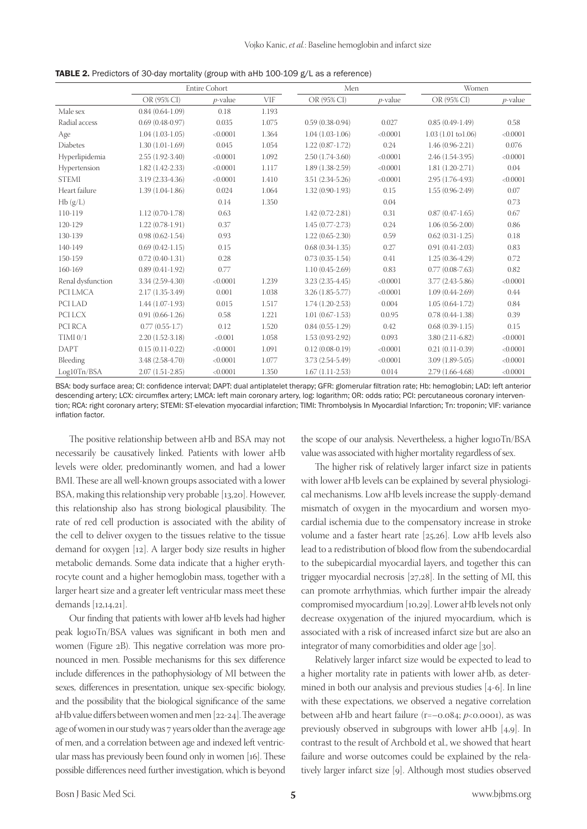|                     | <b>Entire Cohort</b> |            |            | Men                 |            | Women                         |            |
|---------------------|----------------------|------------|------------|---------------------|------------|-------------------------------|------------|
|                     | OR (95% CI)          | $p$ -value | <b>VIF</b> | OR (95% CI)         | $p$ -value | OR (95% CI)                   | $p$ -value |
| Male sex            | $0.84(0.64-1.09)$    | 0.18       | 1.193      |                     |            |                               |            |
| Radial access       | $0.69(0.48-0.97)$    | 0.035      | 1.075      | $0.59(0.38-0.94)$   | 0.027      | $0.85(0.49-1.49)$             | 0.58       |
| Age                 | $1.04(1.03-1.05)$    | < 0.0001   | 1.364      | $1.04(1.03-1.06)$   | < 0.0001   | $1.03(1.01 \text{ to } 1.06)$ | < 0.0001   |
| <b>Diabetes</b>     | $1.30(1.01-1.69)$    | 0.045      | 1.054      | $1.22(0.87-1.72)$   | 0.24       | $1.46(0.96-2.21)$             | 0.076      |
| Hyperlipidemia      | $2.55(1.92-3.40)$    | < 0.0001   | 1.092      | $2.50(1.74-3.60)$   | < 0.0001   | $2.46(1.54-3.95)$             | < 0.0001   |
| Hypertension        | $1.82(1.42-2.33)$    | < 0.0001   | 1.117      | $1.89(1.38-2.59)$   | < 0.0001   | $1.81(1.20-2.71)$             | 0.04       |
| <b>STEMI</b>        | 3.19 (2.33-4.36)     | < 0.0001   | 1.410      | $3.51(2.34-5.26)$   | < 0.0001   | 2.95 (1.76-4.93)              | < 0.0001   |
| Heart failure       | $1.39(1.04-1.86)$    | 0.024      | 1.064      | $1.32(0.90-1.93)$   | 0.15       | $1.55(0.96-2.49)$             | 0.07       |
| Hb(g/L)             |                      | 0.14       | 1.350      |                     | 0.04       |                               | 0.73       |
| 110-119             | $1.12(0.70-1.78)$    | 0.63       |            | $1.42(0.72 - 2.81)$ | 0.31       | $0.87(0.47-1.65)$             | 0.67       |
| 120-129             | $1.22(0.78-1.91)$    | 0.37       |            | $1.45(0.77-2.73)$   | 0.24       | $1.06(0.56-2.00)$             | 0.86       |
| 130-139             | $0.98(0.62 - 1.54)$  | 0.93       |            | $1.22(0.65 - 2.30)$ | 0.59       | $0.62(0.31-1.25)$             | 0.18       |
| 140-149             | $0.69(0.42-1.15)$    | 0.15       |            | $0.68(0.34-1.35)$   | 0.27       | $0.91(0.41-2.03)$             | 0.83       |
| 150-159             | $0.72(0.40-1.31)$    | 0.28       |            | $0.73(0.35-1.54)$   | 0.41       | $1.25(0.36-4.29)$             | 0.72       |
| 160-169             | $0.89(0.41-1.92)$    | 0.77       |            | $1.10(0.45-2.69)$   | 0.83       | $0.77(0.08-7.63)$             | 0.82       |
| Renal dysfunction   | $3.34(2.59-4.30)$    | < 0.0001   | 1.239      | $3.23(2.35-4.45)$   | < 0.0001   | $3.77(2.43-5.86)$             | < 0.0001   |
| PCI LMCA            | $2.17(1.35-3.49)$    | 0.001      | 1.038      | $3.26(1.85 - 5.77)$ | < 0.0001   | $1.09(0.44-2.69)$             | 0.44       |
| PCI LAD             | $1.44(1.07-1.93)$    | 0.015      | 1.517      | $1.74(1.20-2.53)$   | 0.004      | $1.05(0.64-1.72)$             | 0.84       |
| PCI LCX             | $0.91(0.66-1.26)$    | 0.58       | 1.221      | $1.01(0.67-1.53)$   | 0.0.95     | $0.78(0.44-1.38)$             | 0.39       |
| PCI RCA             | $0.77(0.55-1.7)$     | 0.12       | 1.520      | $0.84(0.55-1.29)$   | 0.42       | $0.68(0.39-1.15)$             | 0.15       |
| TIMI <sub>0/1</sub> | $2.20(1.52-3.18)$    | < 0.001    | 1.058      | $1.53(0.93-2.92)$   | 0.093      | $3.80(2.11-6.82)$             | < 0.0001   |
| <b>DAPT</b>         | $0.15(0.11-0.22)$    | < 0.0001   | 1.091      | $0.12(0.08-0.19)$   | < 0.0001   | $0.21(0.11-0.39)$             | < 0.0001   |
| Bleeding            | 3.48 (2.58-4.70)     | < 0.0001   | 1.077      | 3.73 (2.54-5.49)    | < 0.0001   | $3.09(1.89-5.05)$             | < 0.0001   |
| Log10Tn/BSA         | $2.07(1.51-2.85)$    | < 0.0001   | 1.350      | $1.67(1.11 - 2.53)$ | 0.014      | $2.79(1.66-4.68)$             | < 0.0001   |

| TABLE 2. Predictors of 30-day mortality (group with aHb 100-109 g/L as a reference) |  |  |
|-------------------------------------------------------------------------------------|--|--|
|-------------------------------------------------------------------------------------|--|--|

BSA: body surface area; CI: confidence interval; DAPT: dual antiplatelet therapy; GFR: glomerular filtration rate; Hb: hemoglobin; LAD: left anterior descending artery; LCX: circumflex artery; LMCA: left main coronary artery, log: logarithm; OR: odds ratio; PCI: percutaneous coronary intervention; RCA: right coronary artery; STEMI: ST-elevation myocardial infarction; TIMI: Thrombolysis In Myocardial Infarction; Tn: troponin; VIF: variance inflation factor.

The positive relationship between aHb and BSA may not necessarily be causatively linked. Patients with lower aHb levels were older, predominantly women, and had a lower BMI. These are all well-known groups associated with a lower BSA, making this relationship very probable [13,20]. However, this relationship also has strong biological plausibility. The rate of red cell production is associated with the ability of the cell to deliver oxygen to the tissues relative to the tissue demand for oxygen [12]. A larger body size results in higher metabolic demands. Some data indicate that a higher erythrocyte count and a higher hemoglobin mass, together with a larger heart size and a greater left ventricular mass meet these demands [12,14,21].

Our finding that patients with lower aHb levels had higher peak log10Tn/BSA values was significant in both men and women (Figure 2B). This negative correlation was more pronounced in men. Possible mechanisms for this sex difference include differences in the pathophysiology of MI between the sexes, differences in presentation, unique sex-specific biology, and the possibility that the biological significance of the same aHb value differs between women and men [22-24]. The average age of women in our study was 7 years older than the average age of men, and a correlation between age and indexed left ventricular mass has previously been found only in women [16]. These possible differences need further investigation, which is beyond

the scope of our analysis. Nevertheless, a higher log10Tn/BSA value was associated with higher mortality regardless of sex.

The higher risk of relatively larger infarct size in patients with lower aHb levels can be explained by several physiological mechanisms. Low aHb levels increase the supply-demand mismatch of oxygen in the myocardium and worsen myocardial ischemia due to the compensatory increase in stroke volume and a faster heart rate [25,26]. Low aHb levels also lead to a redistribution of blood flow from the subendocardial to the subepicardial myocardial layers, and together this can trigger myocardial necrosis [27,28]. In the setting of MI, this can promote arrhythmias, which further impair the already compromised myocardium [10,29]. Lower aHb levels not only decrease oxygenation of the injured myocardium, which is associated with a risk of increased infarct size but are also an integrator of many comorbidities and older age [30].

Relatively larger infarct size would be expected to lead to a higher mortality rate in patients with lower aHb, as determined in both our analysis and previous studies [4-6]. In line with these expectations, we observed a negative correlation between aHb and heart failure (r=–0.084; *p*<0.0001), as was previously observed in subgroups with lower aHb [4,9]. In contrast to the result of Archbold et al., we showed that heart failure and worse outcomes could be explained by the relatively larger infarct size [9]. Although most studies observed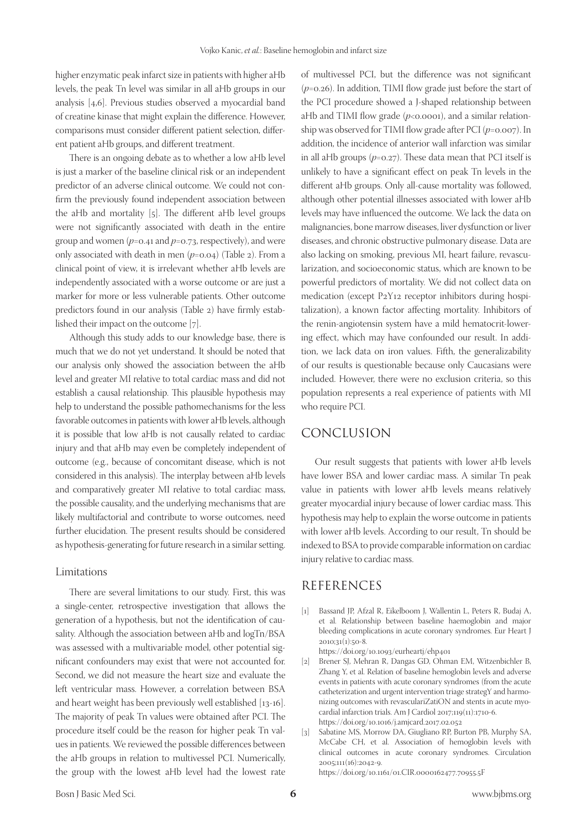higher enzymatic peak infarct size in patients with higher aHb levels, the peak Tn level was similar in all aHb groups in our analysis [4,6]. Previous studies observed a myocardial band of creatine kinase that might explain the difference. However, comparisons must consider different patient selection, different patient aHb groups, and different treatment.

There is an ongoing debate as to whether a low aHb level is just a marker of the baseline clinical risk or an independent predictor of an adverse clinical outcome. We could not confirm the previously found independent association between the aHb and mortality [5]. The different aHb level groups were not significantly associated with death in the entire group and women (*p*=0.41 and *p*=0.73, respectively), and were only associated with death in men (*p*=0.04) (Table 2). From a clinical point of view, it is irrelevant whether aHb levels are independently associated with a worse outcome or are just a marker for more or less vulnerable patients. Other outcome predictors found in our analysis (Table 2) have firmly established their impact on the outcome [7].

Although this study adds to our knowledge base, there is much that we do not yet understand. It should be noted that our analysis only showed the association between the aHb level and greater MI relative to total cardiac mass and did not establish a causal relationship. This plausible hypothesis may help to understand the possible pathomechanisms for the less favorable outcomes in patients with lower aHb levels, although it is possible that low aHb is not causally related to cardiac injury and that aHb may even be completely independent of outcome (e.g., because of concomitant disease, which is not considered in this analysis). The interplay between aHb levels and comparatively greater MI relative to total cardiac mass, the possible causality, and the underlying mechanisms that are likely multifactorial and contribute to worse outcomes, need further elucidation. The present results should be considered as hypothesis-generating for future research in a similar setting.

#### Limitations

There are several limitations to our study. First, this was a single-center, retrospective investigation that allows the generation of a hypothesis, but not the identification of causality. Although the association between aHb and logTn/BSA was assessed with a multivariable model, other potential significant confounders may exist that were not accounted for. Second, we did not measure the heart size and evaluate the left ventricular mass. However, a correlation between BSA and heart weight has been previously well established [13-16]. The majority of peak Tn values were obtained after PCI. The procedure itself could be the reason for higher peak Tn values in patients. We reviewed the possible differences between the aHb groups in relation to multivessel PCI. Numerically, the group with the lowest aHb level had the lowest rate

of multivessel PCI, but the difference was not significant (*p*=0.26). In addition, TIMI flow grade just before the start of the PCI procedure showed a J-shaped relationship between aHb and TIMI flow grade  $(p<0.0001)$ , and a similar relationship was observed for TIMI flow grade after PCI (*p*=0.007). In addition, the incidence of anterior wall infarction was similar in all aHb groups (*p*=0.27). These data mean that PCI itself is unlikely to have a significant effect on peak Tn levels in the different aHb groups. Only all-cause mortality was followed, although other potential illnesses associated with lower aHb levels may have influenced the outcome. We lack the data on malignancies, bone marrow diseases, liver dysfunction or liver diseases, and chronic obstructive pulmonary disease. Data are also lacking on smoking, previous MI, heart failure, revascularization, and socioeconomic status, which are known to be powerful predictors of mortality. We did not collect data on medication (except P2Y12 receptor inhibitors during hospitalization), a known factor affecting mortality. Inhibitors of the renin-angiotensin system have a mild hematocrit-lowering effect, which may have confounded our result. In addition, we lack data on iron values. Fifth, the generalizability of our results is questionable because only Caucasians were included. However, there were no exclusion criteria, so this population represents a real experience of patients with MI who require PCI.

## CONCLUSION

Our result suggests that patients with lower aHb levels have lower BSA and lower cardiac mass. A similar Tn peak value in patients with lower aHb levels means relatively greater myocardial injury because of lower cardiac mass. This hypothesis may help to explain the worse outcome in patients with lower aHb levels. According to our result, Tn should be indexed to BSA to provide comparable information on cardiac injury relative to cardiac mass.

## REFERENCES

- [1] Bassand JP, Afzal R, Eikelboom J, Wallentin L, Peters R, Budaj A, et al. Relationship between baseline haemoglobin and major bleeding complications in acute coronary syndromes. Eur Heart J 2010;31(1):50-8.
	- https://doi.org/10.1093/eurheartj/ehp401
- [2] Brener SJ, Mehran R, Dangas GD, Ohman EM, Witzenbichler B, Zhang Y, et al. Relation of baseline hemoglobin levels and adverse events in patients with acute coronary syndromes (from the acute catheterization and urgent intervention triage strategY and harmonizing outcomes with revasculariZatiON and stents in acute myocardial infarction trials. Am J Cardiol 2017;119(11):1710-6. https://doi.org/10.1016/j.amjcard.2017.02.052
- [3] Sabatine MS, Morrow DA, Giugliano RP, Burton PB, Murphy SA, McCabe CH, et al. Association of hemoglobin levels with clinical outcomes in acute coronary syndromes. Circulation 2005;111(16):2042-9. https://doi.org/10.1161/01.CIR.0000162477.70955.5F